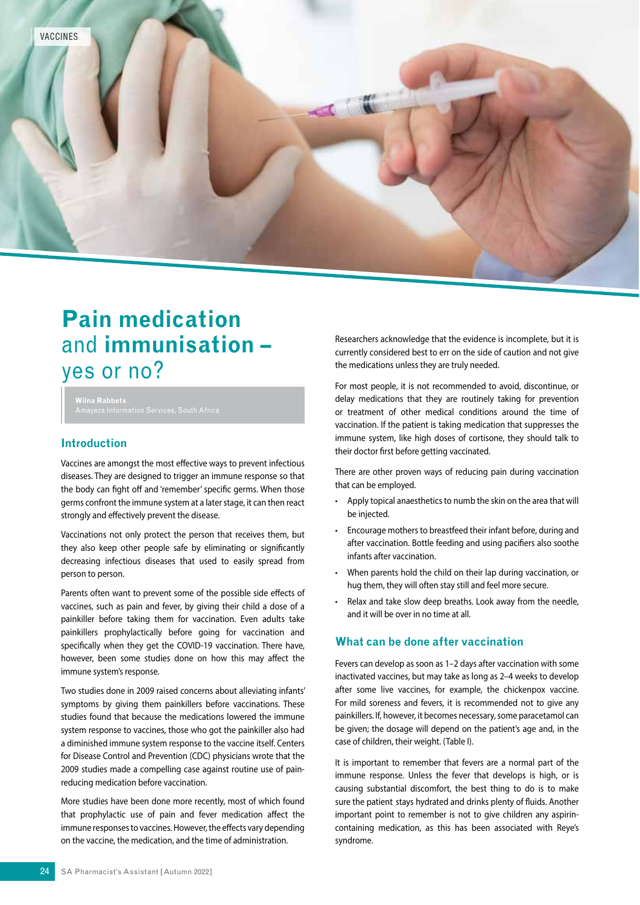

# **Pain medication**  and **immunisation –**  yes or no?

**Wilna Rabbets**

### **Introduction**

Vaccines are amongst the most effective ways to prevent infectious diseases. They are designed to trigger an immune response so that the body can fight off and 'remember' specific germs. When those germs confront the immune system at a later stage, it can then react strongly and effectively prevent the disease.

Vaccinations not only protect the person that receives them, but they also keep other people safe by eliminating or significantly decreasing infectious diseases that used to easily spread from person to person.

Parents often want to prevent some of the possible side effects of vaccines, such as pain and fever, by giving their child a dose of a painkiller before taking them for vaccination. Even adults take painkillers prophylactically before going for vaccination and specifically when they get the COVID-19 vaccination. There have, however, been some studies done on how this may affect the immune system's response.

Two studies done in 2009 raised concerns about alleviating infants' symptoms by giving them painkillers before vaccinations. These studies found that because the medications lowered the immune system response to vaccines, those who got the painkiller also had a diminished immune system response to the vaccine itself. Centers for Disease Control and Prevention (CDC) physicians wrote that the 2009 studies made a compelling case against routine use of painreducing medication before vaccination.

More studies have been done more recently, most of which found that prophylactic use of pain and fever medication affect the immune responses to vaccines. However, the effects vary depending on the vaccine, the medication, and the time of administration.

Researchers acknowledge that the evidence is incomplete, but it is currently considered best to err on the side of caution and not give the medications unless they are truly needed.

For most people, it is not recommended to avoid, discontinue, or delay medications that they are routinely taking for prevention or treatment of other medical conditions around the time of vaccination. If the patient is taking medication that suppresses the immune system, like high doses of cortisone, they should talk to their doctor first before getting vaccinated.

There are other proven ways of reducing pain during vaccination that can be employed.

- Apply topical anaesthetics to numb the skin on the area that will be injected.
- Encourage mothers to breastfeed their infant before, during and after vaccination. Bottle feeding and using pacifiers also soothe infants after vaccination.
- When parents hold the child on their lap during vaccination, or hug them, they will often stay still and feel more secure.
- Relax and take slow deep breaths. Look away from the needle, and it will be over in no time at all.

## **What can be done after vaccination**

Fevers can develop as soon as 1–2 days after vaccination with some inactivated vaccines, but may take as long as 2–4 weeks to develop after some live vaccines, for example, the chickenpox vaccine. For mild soreness and fevers, it is recommended not to give any painkillers. If, however, it becomes necessary, some paracetamol can be given; the dosage will depend on the patient's age and, in the case of children, their weight. (Table I).

It is important to remember that fevers are a normal part of the immune response. Unless the fever that develops is high, or is causing substantial discomfort, the best thing to do is to make sure the patient stays hydrated and drinks plenty of fluids. Another important point to remember is not to give children any aspirincontaining medication, as this has been associated with Reye's syndrome.